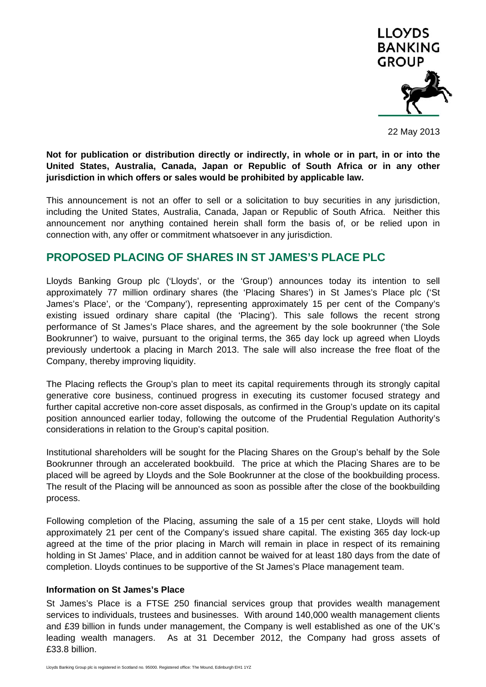

22 May 2013

**Not for publication or distribution directly or indirectly, in whole or in part, in or into the United States, Australia, Canada, Japan or Republic of South Africa or in any other jurisdiction in which offers or sales would be prohibited by applicable law.** 

This announcement is not an offer to sell or a solicitation to buy securities in any jurisdiction, including the United States, Australia, Canada, Japan or Republic of South Africa. Neither this announcement nor anything contained herein shall form the basis of, or be relied upon in connection with, any offer or commitment whatsoever in any jurisdiction.

## **PROPOSED PLACING OF SHARES IN ST JAMES'S PLACE PLC**

Lloyds Banking Group plc ('Lloyds', or the 'Group') announces today its intention to sell approximately 77 million ordinary shares (the 'Placing Shares') in St James's Place plc ('St James's Place', or the 'Company'), representing approximately 15 per cent of the Company's existing issued ordinary share capital (the 'Placing'). This sale follows the recent strong performance of St James's Place shares, and the agreement by the sole bookrunner ('the Sole Bookrunner') to waive, pursuant to the original terms, the 365 day lock up agreed when Lloyds previously undertook a placing in March 2013. The sale will also increase the free float of the Company, thereby improving liquidity.

The Placing reflects the Group's plan to meet its capital requirements through its strongly capital generative core business, continued progress in executing its customer focused strategy and further capital accretive non-core asset disposals, as confirmed in the Group's update on its capital position announced earlier today, following the outcome of the Prudential Regulation Authority's considerations in relation to the Group's capital position.

Institutional shareholders will be sought for the Placing Shares on the Group's behalf by the Sole Bookrunner through an accelerated bookbuild. The price at which the Placing Shares are to be placed will be agreed by Lloyds and the Sole Bookrunner at the close of the bookbuilding process. The result of the Placing will be announced as soon as possible after the close of the bookbuilding process.

Following completion of the Placing, assuming the sale of a 15 per cent stake, Lloyds will hold approximately 21 per cent of the Company's issued share capital. The existing 365 day lock-up agreed at the time of the prior placing in March will remain in place in respect of its remaining holding in St James' Place, and in addition cannot be waived for at least 180 days from the date of completion. Lloyds continues to be supportive of the St James's Place management team.

## **Information on St James's Place**

St James's Place is a FTSE 250 financial services group that provides wealth management services to individuals, trustees and businesses. With around 140,000 wealth management clients and £39 billion in funds under management, the Company is well established as one of the UK's leading wealth managers. As at 31 December 2012, the Company had gross assets of £33.8 billion.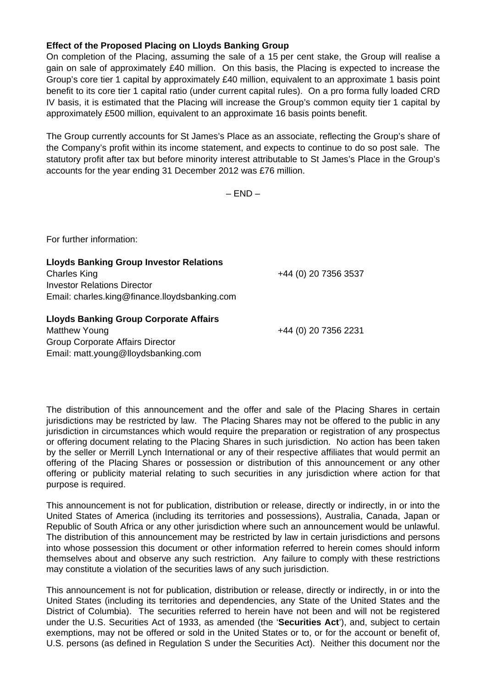## **Effect of the Proposed Placing on Lloyds Banking Group**

On completion of the Placing, assuming the sale of a 15 per cent stake, the Group will realise a gain on sale of approximately £40 million. On this basis, the Placing is expected to increase the Group's core tier 1 capital by approximately £40 million, equivalent to an approximate 1 basis point benefit to its core tier 1 capital ratio (under current capital rules). On a pro forma fully loaded CRD IV basis, it is estimated that the Placing will increase the Group's common equity tier 1 capital by approximately £500 million, equivalent to an approximate 16 basis points benefit.

The Group currently accounts for St James's Place as an associate, reflecting the Group's share of the Company's profit within its income statement, and expects to continue to do so post sale. The statutory profit after tax but before minority interest attributable to St James's Place in the Group's accounts for the year ending 31 December 2012 was £76 million.

 $-$  END $-$ 

For further information:

**Lloyds Banking Group Investor Relations**  Charles King +44 (0) 20 7356 3537 Investor Relations Director Email: charles.king@finance.lloydsbanking.com **Lloyds Banking Group Corporate Affairs** 

Matthew Young +44 (0) 20 7356 2231 Group Corporate Affairs Director Email: matt.young@lloydsbanking.com

The distribution of this announcement and the offer and sale of the Placing Shares in certain jurisdictions may be restricted by law. The Placing Shares may not be offered to the public in any jurisdiction in circumstances which would require the preparation or registration of any prospectus or offering document relating to the Placing Shares in such jurisdiction. No action has been taken by the seller or Merrill Lynch International or any of their respective affiliates that would permit an offering of the Placing Shares or possession or distribution of this announcement or any other offering or publicity material relating to such securities in any jurisdiction where action for that purpose is required.

This announcement is not for publication, distribution or release, directly or indirectly, in or into the United States of America (including its territories and possessions), Australia, Canada, Japan or Republic of South Africa or any other jurisdiction where such an announcement would be unlawful. The distribution of this announcement may be restricted by law in certain jurisdictions and persons into whose possession this document or other information referred to herein comes should inform themselves about and observe any such restriction. Any failure to comply with these restrictions may constitute a violation of the securities laws of any such jurisdiction.

This announcement is not for publication, distribution or release, directly or indirectly, in or into the United States (including its territories and dependencies, any State of the United States and the District of Columbia). The securities referred to herein have not been and will not be registered under the U.S. Securities Act of 1933, as amended (the '**Securities Act**'), and, subject to certain exemptions, may not be offered or sold in the United States or to, or for the account or benefit of, U.S. persons (as defined in Regulation S under the Securities Act). Neither this document nor the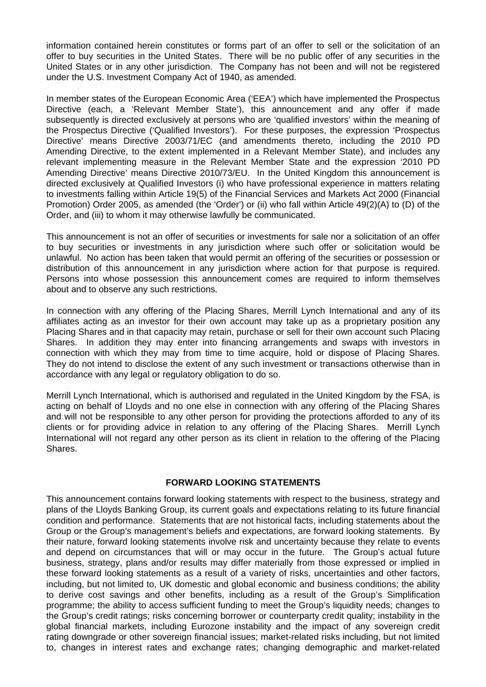information contained herein constitutes or forms part of an offer to sell or the solicitation of an offer to buy securities in the United States. There will be no public offer of any securities in the United States or in any other jurisdiction. The Company has not been and will not be registered under the U.S. Investment Company Act of 1940, as amended.

In member states of the European Economic Area ('EEA') which have implemented the Prospectus Directive (each, a 'Relevant Member State'), this announcement and any offer if made subsequently is directed exclusively at persons who are 'qualified investors' within the meaning of the Prospectus Directive ('Qualified Investors'). For these purposes, the expression 'Prospectus Directive' means Directive 2003/71/EC (and amendments thereto, including the 2010 PD Amending Directive, to the extent implemented in a Relevant Member State), and includes any relevant implementing measure in the Relevant Member State and the expression '2010 PD Amending Directive' means Directive 2010/73/EU. In the United Kingdom this announcement is directed exclusively at Qualified Investors (i) who have professional experience in matters relating to investments falling within Article 19(5) of the Financial Services and Markets Act 2000 (Financial Promotion) Order 2005, as amended (the 'Order') or (ii) who fall within Article 49(2)(A) to (D) of the Order, and (iii) to whom it may otherwise lawfully be communicated.

This announcement is not an offer of securities or investments for sale nor a solicitation of an offer to buy securities or investments in any jurisdiction where such offer or solicitation would be unlawful. No action has been taken that would permit an offering of the securities or possession or distribution of this announcement in any jurisdiction where action for that purpose is required. Persons into whose possession this announcement comes are required to inform themselves about and to observe any such restrictions.

In connection with any offering of the Placing Shares, Merrill Lynch International and any of its affiliates acting as an investor for their own account may take up as a proprietary position any Placing Shares and in that capacity may retain, purchase or sell for their own account such Placing Shares. In addition they may enter into financing arrangements and swaps with investors in connection with which they may from time to time acquire, hold or dispose of Placing Shares. They do not intend to disclose the extent of any such investment or transactions otherwise than in accordance with any legal or regulatory obligation to do so.

Merrill Lynch International, which is authorised and regulated in the United Kingdom by the FSA, is acting on behalf of Lloyds and no one else in connection with any offering of the Placing Shares and will not be responsible to any other person for providing the protections afforded to any of its clients or for providing advice in relation to any offering of the Placing Shares. Merrill Lynch International will not regard any other person as its client in relation to the offering of the Placing Shares.

## **FORWARD LOOKING STATEMENTS**

This announcement contains forward looking statements with respect to the business, strategy and plans of the Lloyds Banking Group, its current goals and expectations relating to its future financial condition and performance. Statements that are not historical facts, including statements about the Group or the Group's management's beliefs and expectations, are forward looking statements. By their nature, forward looking statements involve risk and uncertainty because they relate to events and depend on circumstances that will or may occur in the future. The Group's actual future business, strategy, plans and/or results may differ materially from those expressed or implied in these forward looking statements as a result of a variety of risks, uncertainties and other factors, including, but not limited to, UK domestic and global economic and business conditions; the ability to derive cost savings and other benefits, including as a result of the Group's Simplification programme; the ability to access sufficient funding to meet the Group's liquidity needs; changes to the Group's credit ratings; risks concerning borrower or counterparty credit quality; instability in the global financial markets, including Eurozone instability and the impact of any sovereign credit rating downgrade or other sovereign financial issues; market-related risks including, but not limited to, changes in interest rates and exchange rates; changing demographic and market-related